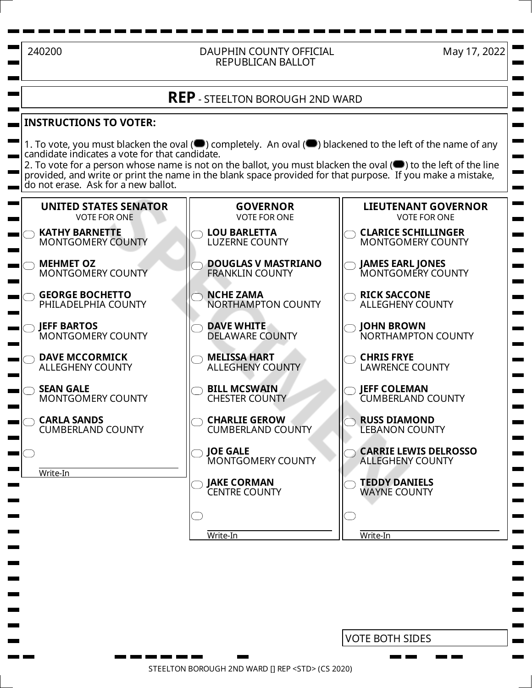## 240200 DAUPHIN COUNTY OFFICIAL REPUBLICAN BALLOT

May 17, 2022

## **REP** - STEELTON BOROUGH 2ND WARD

## **INSTRUCTIONS TO VOTER:**

1. To vote, you must blacken the oval (<sup>1</sup>) completely. An oval (<sup>2</sup>) blackened to the left of the name of any candidate indicates a vote for that candidate.

2. To vote for a person whose name is not on the ballot, you must blacken the oval  $($ **)** to the left of the line provided, and write or print the name in the blank space provided for that purpose. If you make a mistake, do not erase. Ask for a new ballot.